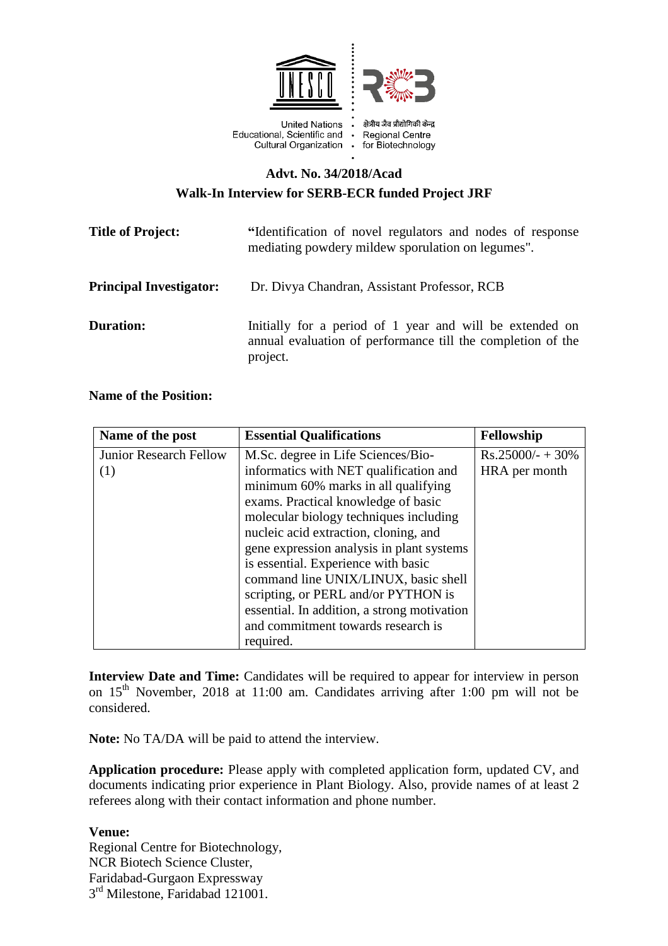

## **Advt. No. 34/2018/Acad Walk-In Interview for SERB-ECR funded Project JRF**

| <b>Title of Project:</b>       | "Identification of novel regulators and nodes of response<br>mediating powdery mildew sporulation on legumes".<br>Dr. Divya Chandran, Assistant Professor, RCB |  |
|--------------------------------|----------------------------------------------------------------------------------------------------------------------------------------------------------------|--|
| <b>Principal Investigator:</b> |                                                                                                                                                                |  |
| <b>Duration:</b>               | Initially for a period of 1 year and will be extended on<br>annual evaluation of performance till the completion of the<br>project.                            |  |

## **Name of the Position:**

| Name of the post              | <b>Essential Qualifications</b>             | Fellowship          |
|-------------------------------|---------------------------------------------|---------------------|
| <b>Junior Research Fellow</b> | M.Sc. degree in Life Sciences/Bio-          | $Rs.25000/- + 30\%$ |
| (1)                           | informatics with NET qualification and      | HRA per month       |
|                               | minimum 60% marks in all qualifying         |                     |
|                               | exams. Practical knowledge of basic         |                     |
|                               | molecular biology techniques including      |                     |
|                               | nucleic acid extraction, cloning, and       |                     |
|                               | gene expression analysis in plant systems   |                     |
|                               | is essential. Experience with basic         |                     |
|                               | command line UNIX/LINUX, basic shell        |                     |
|                               | scripting, or PERL and/or PYTHON is         |                     |
|                               | essential. In addition, a strong motivation |                     |
|                               | and commitment towards research is          |                     |
|                               | required.                                   |                     |

**Interview Date and Time:** Candidates will be required to appear for interview in person on  $15<sup>th</sup>$  November, 2018 at 11:00 am. Candidates arriving after 1:00 pm will not be considered.

**Note:** No TA/DA will be paid to attend the interview.

**Application procedure:** Please apply with completed application form, updated CV, and documents indicating prior experience in Plant Biology. Also, provide names of at least 2 referees along with their contact information and phone number.

## **Venue:**

Regional Centre for Biotechnology, NCR Biotech Science Cluster, Faridabad-Gurgaon Expressway 3<sup>rd</sup> Milestone, Faridabad 121001.